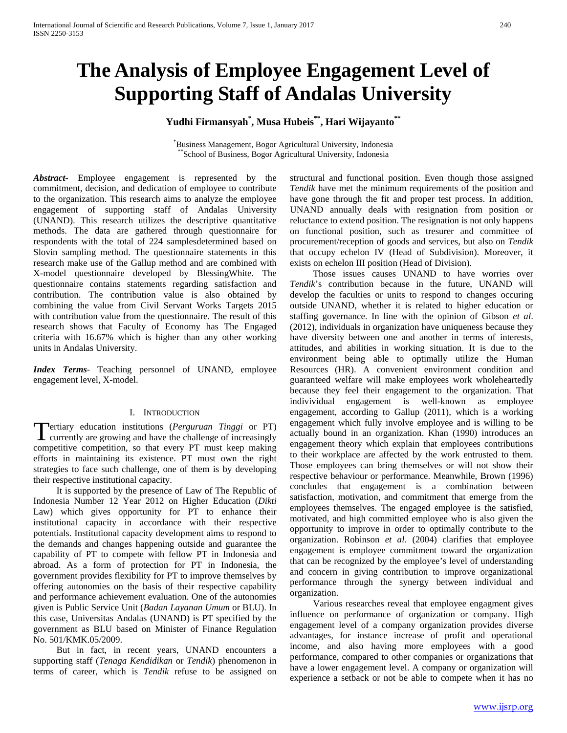# **The Analysis of Employee Engagement Level of Supporting Staff of Andalas University**

# **Yudhi Firmansyah\* , Musa Hubeis\*\*, Hari Wijayanto\*\***

\*Business Management, Bogor Agricultural University, Indonesia \*School of Business, Bogor Agricultural University, Indonesia

*Abstract***-** Employee engagement is represented by the commitment, decision, and dedication of employee to contribute to the organization. This research aims to analyze the employee engagement of supporting staff of Andalas University (UNAND). This research utilizes the descriptive quantitative methods. The data are gathered through questionnaire for respondents with the total of 224 samplesdetermined based on Slovin sampling method. The questionnaire statements in this research make use of the Gallup method and are combined with X-model questionnaire developed by BlessingWhite. The questionnaire contains statements regarding satisfaction and contribution. The contribution value is also obtained by combining the value from Civil Servant Works Targets 2015 with contribution value from the questionnaire. The result of this research shows that Faculty of Economy has The Engaged criteria with 16.67% which is higher than any other working units in Andalas University.

*Index Terms*- Teaching personnel of UNAND, employee engagement level, X-model.

#### I. INTRODUCTION

ertiary education institutions (*Perguruan Tinggi* or PT) **T**ertiary education institutions (*Perguruan Tinggi* or PT) currently are growing and have the challenge of increasingly competitive competition, so that every PT must keep making efforts in maintaining its existence. PT must own the right strategies to face such challenge, one of them is by developing their respective institutional capacity.

 It is supported by the presence of Law of The Republic of Indonesia Number 12 Year 2012 on Higher Education (*Dikti*  Law) which gives opportunity for PT to enhance their institutional capacity in accordance with their respective potentials. Institutional capacity development aims to respond to the demands and changes happening outside and guarantee the capability of PT to compete with fellow PT in Indonesia and abroad. As a form of protection for PT in Indonesia, the government provides flexibility for PT to improve themselves by offering autonomies on the basis of their respective capability and performance achievement evaluation. One of the autonomies given is Public Service Unit (*Badan Layanan Umum* or BLU). In this case, Universitas Andalas (UNAND) is PT specified by the government as BLU based on Minister of Finance Regulation No. 501/KMK.05/2009.

 But in fact, in recent years, UNAND encounters a supporting staff (*Tenaga Kendidikan* or *Tendik*) phenomenon in terms of career, which is *Tendik* refuse to be assigned on structural and functional position. Even though those assigned *Tendik* have met the minimum requirements of the position and have gone through the fit and proper test process. In addition, UNAND annually deals with resignation from position or reluctance to extend position. The resignation is not only happens on functional position, such as tresurer and committee of procurement/reception of goods and services, but also on *Tendik*  that occupy echelon IV (Head of Subdivision). Moreover, it exists on echelon III position (Head of Division).

 Those issues causes UNAND to have worries over *Tendik*'s contribution because in the future, UNAND will develop the faculties or units to respond to changes occuring outside UNAND, whether it is related to higher education or staffing governance. In line with the opinion of Gibson *et al*. (2012), individuals in organization have uniqueness because they have diversity between one and another in terms of interests, attitudes, and abilities in working situation. It is due to the environment being able to optimally utilize the Human Resources (HR). A convenient environment condition and guaranteed welfare will make employees work wholeheartedly because they feel their engagement to the organization. That indivividual engagement is well-known as employee engagement, according to Gallup (2011), which is a working engagement which fully involve employee and is willing to be actually bound in an organization. Khan (1990) introduces an engagement theory which explain that employees contributions to their workplace are affected by the work entrusted to them. Those employees can bring themselves or will not show their respective behaviour or performance. Meanwhile, Brown (1996) concludes that engagement is a combination between satisfaction, motivation, and commitment that emerge from the employees themselves. The engaged employee is the satisfied, motivated, and high committed employee who is also given the opportunity to improve in order to optimally contribute to the organization. Robinson *et al*. (2004) clarifies that employee engagement is employee commitment toward the organization that can be recognized by the employee's level of understanding and concern in giving contribution to improve organizational performance through the synergy between individual and organization.

 Various researches reveal that employee engagment gives influence on performance of organization or company. High engagement level of a company organization provides diverse advantages, for instance increase of profit and operational income, and also having more employees with a good performance, compared to other companies or organizations that have a lower engagement level. A company or organization will experience a setback or not be able to compete when it has no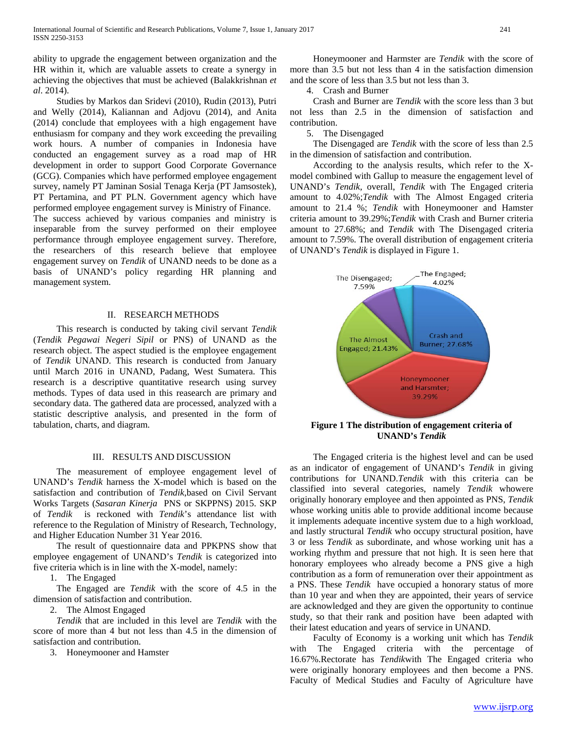ability to upgrade the engagement between organization and the HR within it, which are valuable assets to create a synergy in achieving the objectives that must be achieved (Balakkrishnan *et al*. 2014).

 Studies by Markos dan Sridevi (2010), Rudin (2013), Putri and Welly (2014), Kaliannan and Adjovu (2014), and Anita (2014) conclude that employees with a high engagement have enthusiasm for company and they work exceeding the prevailing work hours. A number of companies in Indonesia have conducted an engagement survey as a road map of HR development in order to support Good Corporate Governance (GCG). Companies which have performed employee engagement survey, namely PT Jaminan Sosial Tenaga Kerja (PT Jamsostek), PT Pertamina, and PT PLN. Government agency which have performed employee engagement survey is Ministry of Finance.

The success achieved by various companies and ministry is inseparable from the survey performed on their employee performance through employee engagement survey. Therefore, the researchers of this research believe that employee engagement survey on *Tendik* of UNAND needs to be done as a basis of UNAND's policy regarding HR planning and management system.

#### II. RESEARCH METHODS

 This research is conducted by taking civil servant *Tendik*  (*Tendik Pegawai Negeri Sipil* or PNS) of UNAND as the research object. The aspect studied is the employee engagement of *Tendik* UNAND. This research is conducted from January until March 2016 in UNAND, Padang, West Sumatera. This research is a descriptive quantitative research using survey methods. Types of data used in this reasearch are primary and secondary data. The gathered data are processed, analyzed with a statistic descriptive analysis, and presented in the form of tabulation, charts, and diagram.

## III. RESULTS AND DISCUSSION

 The measurement of employee engagement level of UNAND's *Tendik* harness the X-model which is based on the satisfaction and contribution of *Tendik*,based on Civil Servant Works Targets (*Sasaran Kinerja* PNS or SKPPNS) 2015. SKP of *Tendik* is reckoned with *Tendik*'s attendance list with reference to the Regulation of Ministry of Research, Technology, and Higher Education Number 31 Year 2016.

 The result of questionnaire data and PPKPNS show that employee engagement of UNAND's *Tendik* is categorized into five criteria which is in line with the X-model, namely:

1. The Engaged

 The Engaged are *Tendik* with the score of 4.5 in the dimension of satisfaction and contribution.

2. The Almost Engaged

 *Tendik* that are included in this level are *Tendik* with the score of more than 4 but not less than 4.5 in the dimension of satisfaction and contribution.

3. Honeymooner and Hamster

 Honeymooner and Harmster are *Tendik* with the score of more than 3.5 but not less than 4 in the satisfaction dimension and the score of less than 3.5 but not less than 3.

4. Crash and Burner

 Crash and Burner are *Tendik* with the score less than 3 but not less than 2.5 in the dimension of satisfaction and contribution.

5. The Disengaged

 The Disengaged are *Tendik* with the score of less than 2.5 in the dimension of satisfaction and contribution.

 According to the analysis results, which refer to the Xmodel combined with Gallup to measure the engagement level of UNAND's *Tendik*, overall, *Tendik* with The Engaged criteria amount to 4.02%;*Tendik* with The Almost Engaged criteria amount to 21.4 %; *Tendik* with Honeymooner and Hamster criteria amount to 39.29%;*Tendik* with Crash and Burner criteria amount to 27.68%; and *Tendik* with The Disengaged criteria amount to 7.59%. The overall distribution of engagement criteria of UNAND's *Tendik* is displayed in Figure 1.



## **Figure 1 The distribution of engagement criteria of UNAND's** *Tendik*

 The Engaged criteria is the highest level and can be used as an indicator of engagement of UNAND's *Tendik* in giving contributions for UNAND.*Tendik* with this criteria can be classified into several categories, namely *Tendik* whowere originally honorary employee and then appointed as PNS, *Tendik*  whose working unitis able to provide additional income because it implements adequate incentive system due to a high workload, and lastly structural *Tendik* who occupy structural position, have 3 or less *Tendik* as subordinate, and whose working unit has a working rhythm and pressure that not high. It is seen here that honorary employees who already become a PNS give a high contribution as a form of remuneration over their appointment as a PNS. These *Tendik* have occupied a honorary status of more than 10 year and when they are appointed, their years of service are acknowledged and they are given the opportunity to continue study, so that their rank and position have been adapted with their latest education and years of service in UNAND.

 Faculty of Economy is a working unit which has *Tendik*  with The Engaged criteria with the percentage of 16.67%.Rectorate has *Tendik*with The Engaged criteria who were originally honorary employees and then become a PNS. Faculty of Medical Studies and Faculty of Agriculture have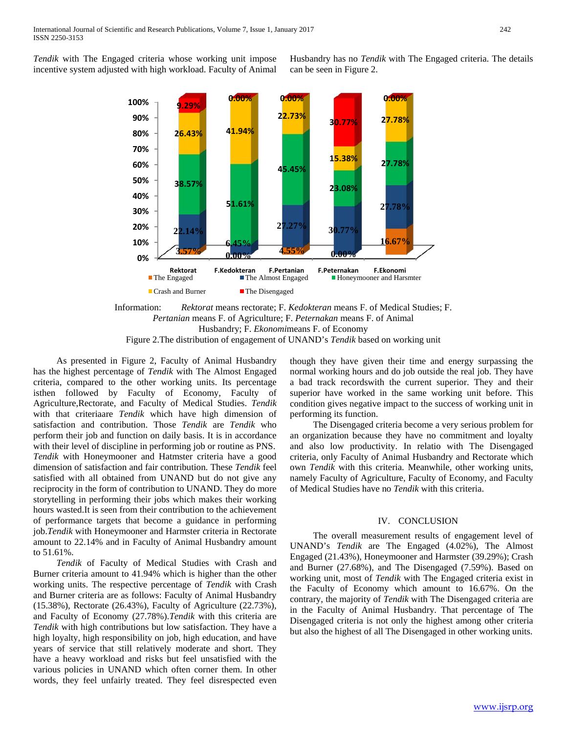*Tendik* with The Engaged criteria whose working unit impose incentive system adjusted with high workload. Faculty of Animal Husbandry has no *Tendik* with The Engaged criteria. The details can be seen in Figure 2.



Information: *Rektorat* means rectorate; F. *Kedokteran* means F. of Medical Studies; F. *Pertanian* means F. of Agriculture; F. *Peternakan* means F. of Animal Husbandry; F. *Ekonomi*means F. of Economy Figure 2.The distribution of engagement of UNAND's *Tendik* based on working unit

 As presented in Figure 2, Faculty of Animal Husbandry has the highest percentage of *Tendik* with The Almost Engaged criteria, compared to the other working units. Its percentage isthen followed by Faculty of Economy, Faculty of Agriculture,Rectorate, and Faculty of Medical Studies. *Tendik*  with that criteriaare *Tendik* which have high dimension of satisfaction and contribution. Those *Tendik* are *Tendik* who perform their job and function on daily basis. It is in accordance with their level of discipline in performing job or routine as PNS. *Tendik* with Honeymooner and Hatmster criteria have a good dimension of satisfaction and fair contribution. These *Tendik* feel satisfied with all obtained from UNAND but do not give any reciprocity in the form of contribution to UNAND. They do more storytelling in performing their jobs which makes their working hours wasted.It is seen from their contribution to the achievement of performance targets that become a guidance in performing job.*Tendik* with Honeymooner and Harmster criteria in Rectorate amount to 22.14% and in Faculty of Animal Husbandry amount to 51.61%.

 *Tendik* of Faculty of Medical Studies with Crash and Burner criteria amount to 41.94% which is higher than the other working units. The respective percentage of *Tendik* with Crash and Burner criteria are as follows: Faculty of Animal Husbandry (15.38%), Rectorate (26.43%), Faculty of Agriculture (22.73%), and Faculty of Economy (27.78%).*Tendik* with this criteria are *Tendik* with high contributions but low satisfaction. They have a high loyalty, high responsibility on job, high education, and have years of service that still relatively moderate and short. They have a heavy workload and risks but feel unsatisfied with the various policies in UNAND which often corner them. In other words, they feel unfairly treated. They feel disrespected even though they have given their time and energy surpassing the normal working hours and do job outside the real job. They have a bad track recordswith the current superior. They and their superior have worked in the same working unit before. This condition gives negative impact to the success of working unit in performing its function.

 The Disengaged criteria become a very serious problem for an organization because they have no commitment and loyalty and also low productivity. In relatio with The Disengaged criteria, only Faculty of Animal Husbandry and Rectorate which own *Tendik* with this criteria. Meanwhile, other working units, namely Faculty of Agriculture, Faculty of Economy, and Faculty of Medical Studies have no *Tendik* with this criteria.

#### IV. CONCLUSION

 The overall measurement results of engagement level of UNAND's *Tendik* are The Engaged (4.02%), The Almost Engaged (21.43%), Honeymooner and Harmster (39.29%); Crash and Burner (27.68%), and The Disengaged (7.59%). Based on working unit, most of *Tendik* with The Engaged criteria exist in the Faculty of Economy which amount to 16.67%. On the contrary, the majority of *Tendik* with The Disengaged criteria are in the Faculty of Animal Husbandry. That percentage of The Disengaged criteria is not only the highest among other criteria but also the highest of all The Disengaged in other working units.